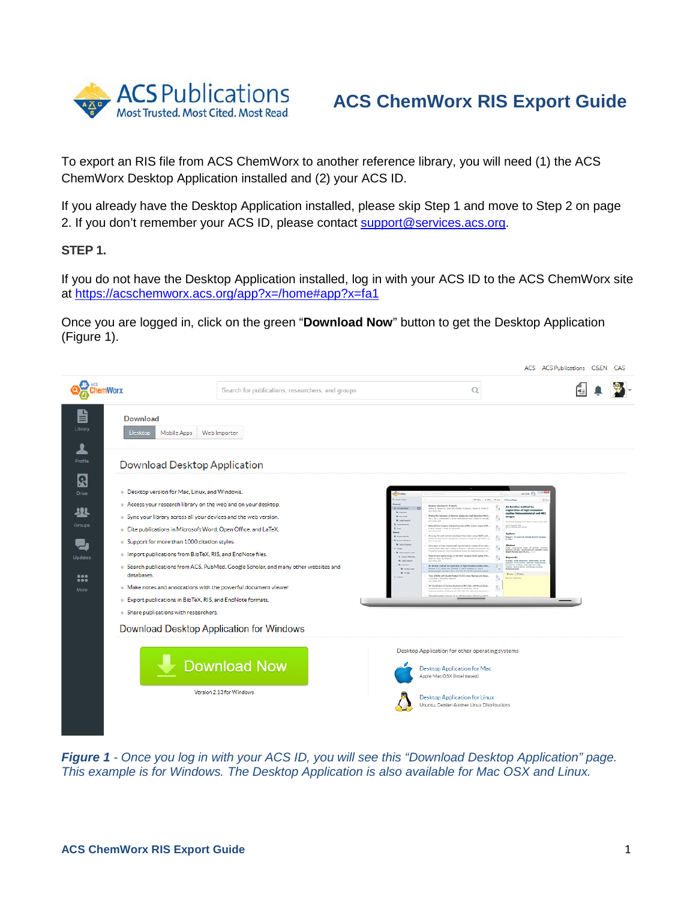

## **ACS ChemWorx RIS Export Guide**

To export an RIS file from ACS ChemWorx to another reference library, you will need (1) the ACS ChemWorx Desktop Application installed and (2) your ACS ID.

If you already have the Desktop Application installed, please skip Step 1 and move to Step 2 on page 2. If you don't remember your ACS ID, please contact support@services.acs.org.

**STEP 1.** 

If you do not have the Desktop Application installed, log in with your ACS ID to the ACS ChemWorx site at<https://acschemworx.acs.org/app?x=/home#app?x=fa1>

Once you are logged in, click on the green "**Download Now**" button to get the Desktop Application (Figure 1).



*Figure 1 - Once you log in with your ACS ID, you will see this "Download Desktop Application" page. This example is for Windows. The Desktop Application is also available for Mac OSX and Linux.*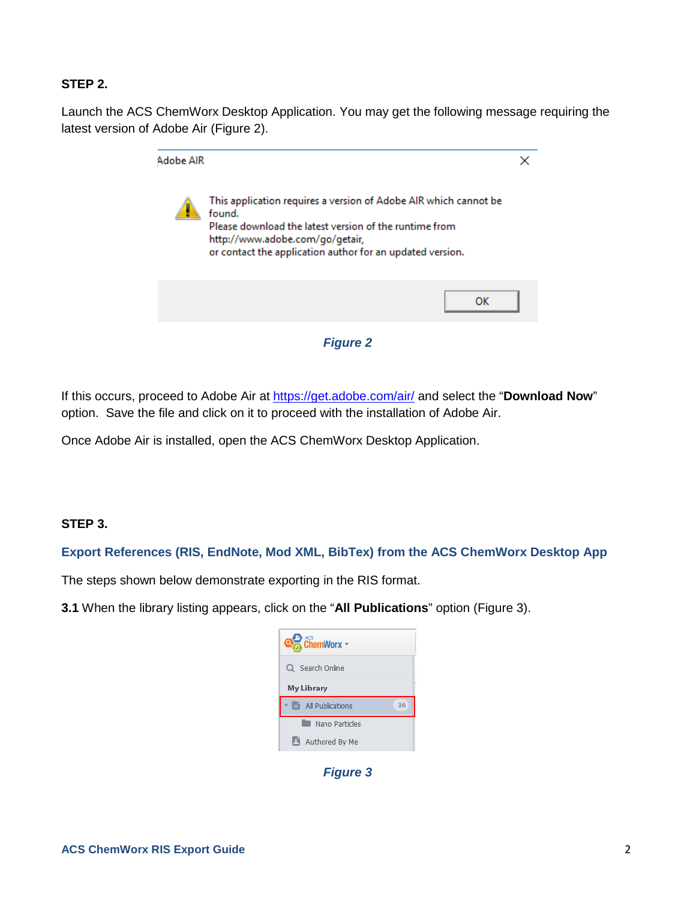## **STEP 2.**

Launch the ACS ChemWorx Desktop Application. You may get the following message requiring the latest version of Adobe Air (Figure 2).

| Adobe AIR |                                                                                                                                                                                                                                      |  |
|-----------|--------------------------------------------------------------------------------------------------------------------------------------------------------------------------------------------------------------------------------------|--|
|           | This application requires a version of Adobe AIR which cannot be<br>found.<br>Please download the latest version of the runtime from<br>http://www.adobe.com/go/getair,<br>or contact the application author for an updated version. |  |
|           | ок                                                                                                                                                                                                                                   |  |

*Figure 2*

If this occurs, proceed to Adobe Air at<https://get.adobe.com/air/> and select the "**Download Now**" option. Save the file and click on it to proceed with the installation of Adobe Air.

Once Adobe Air is installed, open the ACS ChemWorx Desktop Application.

## **STEP 3.**

**Export References (RIS, EndNote, Mod XML, BibTex) from the ACS ChemWorx Desktop App**

The steps shown below demonstrate exporting in the RIS format.

**3.1** When the library listing appears, click on the "**All Publications**" option (Figure 3).



*Figure 3*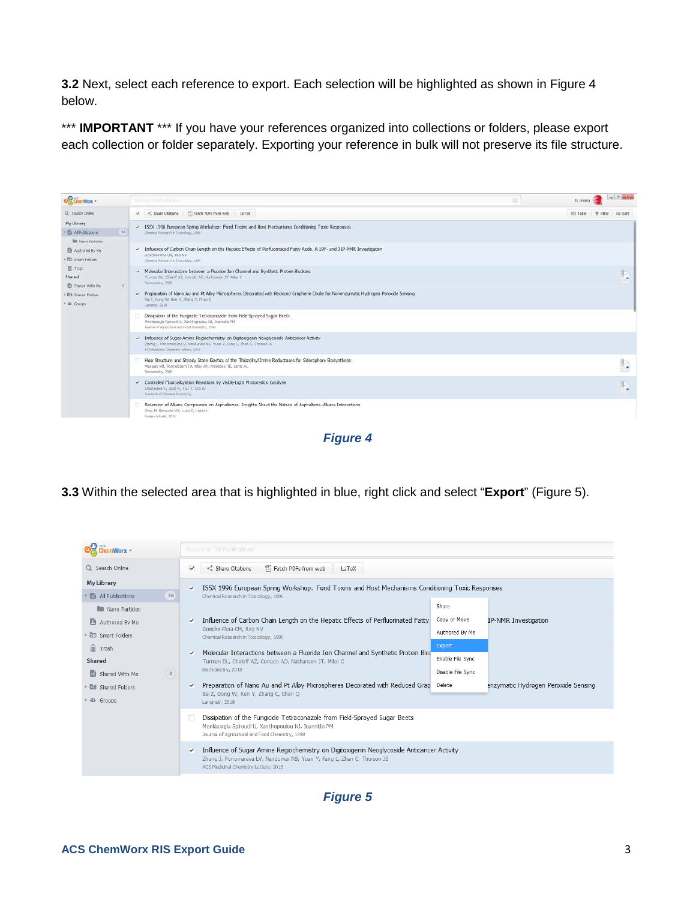**3.2** Next, select each reference to export. Each selection will be highlighted as shown in Figure 4 below.

\*\*\* **IMPORTANT** \*\*\* If you have your references organized into collections or folders, please export each collection or folder separately. Exporting your reference in bulk will not preserve its file structure.



*Figure 4*

**3.3** Within the selected area that is highlighted in blue, right click and select "**Export**" (Figure 5).



*Figure 5*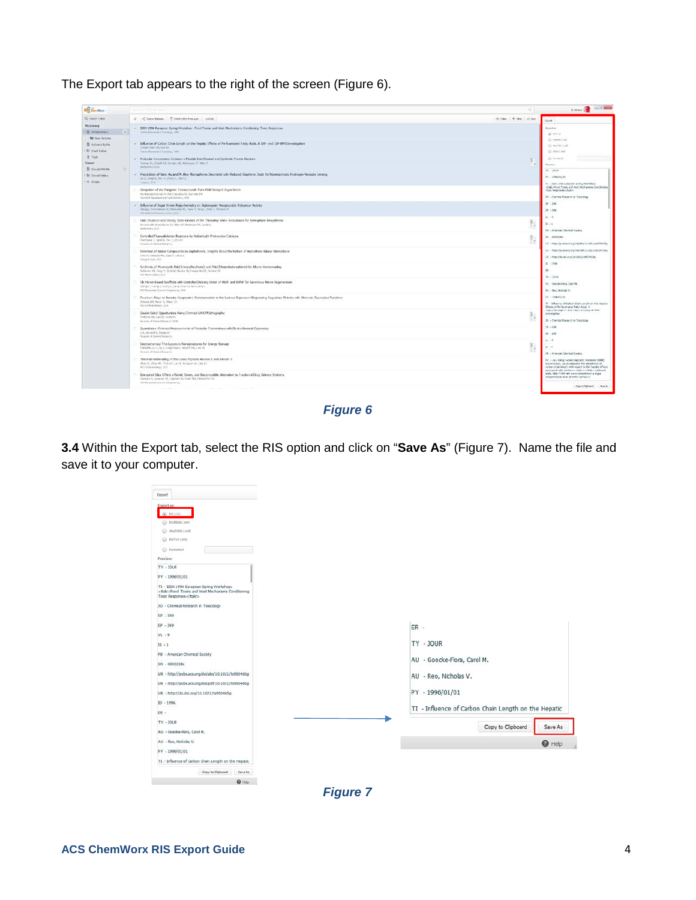The Export tab appears to the right of the screen (Figure 6).

| <b>OC</b> Gentless -                                                  |                                                                                                                                                                                                              | $\alpha$                      | <b>Allows</b> South Market                                                                                                                                 |
|-----------------------------------------------------------------------|--------------------------------------------------------------------------------------------------------------------------------------------------------------------------------------------------------------|-------------------------------|------------------------------------------------------------------------------------------------------------------------------------------------------------|
| CL-Seven Draw                                                         | 2. C. Chan Chasos: T. Febb Hills formulation (a Talk)                                                                                                                                                        | ISL Tele  T Filter, L.I.D.Set | <b>Cancer</b>                                                                                                                                              |
| <b>My Library</b><br><b>B</b> Abhabatara                              | - ISSX 1996 European Spring Workshop: Food Toxins and Host Mechanium; Conditioning Toxic Responses<br>Thomas & European & Incinematics, 1984                                                                 |                               | Export as:<br><b>WE RELINE</b>                                                                                                                             |
| <b>BE</b> New Ferry's<br>B Adverably No.<br><b>Bill Straft Follow</b> | - Influence of Carbon Chain Length on the Hepatic Effects of Perfiusmated Fatty Acids. A 19F- and J1P-NMR Investigation<br>Unside their CIR line for<br>Threat discovering Tennissan, 1990                   |                               | @ Entretclink<br>El Webbliner<br>(3 Metable)                                                                                                               |
| B Tah<br><b>Shaved</b><br><b>El tiwed With He</b>                     | - Molecular Interactions between a Fuoride Ton Channel and Synthetic Protein Blockers<br>Turner D., Chenff AZ, Dunald AD, Natherson 27, Mile C.<br><b>Beforecev, 2010</b>                                    |                               | G fainted<br>Foreign:<br>$38 - 100K$                                                                                                                       |
| <b>BX Haral Falsey</b><br>i illi drouni                               | - Preparation of Nano Au and Pt Alloy Microsofrenes Decorated with Reduced Graphene Oxide for Natientsymatic Hydrogen Persoade Senang<br>(at 2, Doing W. Marr. V. 25 and C. Chien G.)<br>Imput, 2713         |                               | Wr - 1996/61/31<br>11 - 2004 1998 Cultiples Sorrio Warehold                                                                                                |
|                                                                       | Disspetion of the Fungistic Temaconargic from Field Sprayed Super Beets<br>Markenade-Episyah'ds, Zanihopoulou NJ, Sunnish Pre-<br>Executive Aircrafts and Food Democratic ENR                                |                               | Time Responses-Clinics<br>33. - Charles Basesch in Tracriogy                                                                                               |
|                                                                       | - Influence of Sugar Amme Regardsematry on Outoxopean Neoglycoatly Antounce: Activity<br>Stang & Followares DC Newfolke WC Hale P, Tang C Shak C, Thirlee RC<br>and make a chance y laters, 2010             |                               | $99 - 549$<br>$50 - 100$                                                                                                                                   |
|                                                                       | Holo Structure and Strody State Kinetics of the Thispoliny Irnine Reductance for Siderophone Eloxynthesis<br>Worsch XPL Romobusm TA, R&v AP, Winsons TE, Leib AL<br>Behrerin, 2011.                          | SD.<br>ñя,                    | $145 - 9$<br>$H \rightarrow 1$<br>FB - American Chemical Society                                                                                           |
|                                                                       | Controlled Fluoroakylaten Reactions by Visible-Light Photonstex Catalysis<br>Chattegee U. Ignatis, Yes: Y. ChallT<br>National of Channel Report D.                                                           | œ                             | SN - 0983226v<br>338 - http://pule.am.org/bubbach1.th31/bdddeidig                                                                                          |
|                                                                       | Retention of Alkane Compount's on Asphaltenes, Insights About the Nature of Asphaltene-Alkane Interactions<br>LINEA MA, Kamanchi MM, LABO M, LABOUT &<br>Transport Forms, 2012                               |                               | UR - REBUYSUBE active Combiblico, 1921/60501656<br>UR - http://dx.doi.ing/18.1621/6603455g                                                                 |
|                                                                       | Synthesis of Macrocycle Poly(3-hoxythicphone) and Poly(3-hoptyladerophone) by Aliyne Homocoupling<br>McGrown OE, Paing Y, (Schelto), Markon 30, Perspectiba DF, Scheme 35.<br>AG Pore offers Ave.            |                               | EI - 1906<br>in.<br>$Tx = 100A$                                                                                                                            |
|                                                                       | 14. Fibron-Eissed Scaffolds with Controled Delivery Order of VECF and EDNF for Cavemous Nerve Regeneration<br>250 ng Y, 11 am & L 16 ang L 1 kk Q, Shat H, He K, Sang L<br>ATTRAGUNATION ATTRAUMNED MAL      |                               | As - because a castel.<br>All - Red Nichola V.                                                                                                             |
|                                                                       | Fourteen Ways to Renade Cooperative Communication in the Lactiose Repressor: Engineering Regulatory Proteins with Alternate Repressive Punctions<br>Richards DK, Harver E, Wilson Ct.<br>ACLEARANCEMENT 2019 |                               | THE 4 STREET EAST<br>'11 - Influence of Cation Chan Length an the Happon<br>Effects of Perfecting and Fathy Acids, A.                                      |
|                                                                       | Double-Sided Opportunities Using Chemical Lift-Off Lthography.<br>Andream AR, Lisa VII, Write Pic.<br>Builde of Thomas Innew Jr., 2010.                                                                      |                               | state-bearing the time time design of the system<br><b>Zivestigitist</b><br>10 - Cherical Research in Tasksboy                                             |
|                                                                       | Quantizitive Chrimical Measurements of Veracular Transmitters with Electrochemical Cytemetry<br>U.K. Distances J. Ewron Ad-<br>Automotive of Chemical Bental (F)                                             |                               | $-189 - 1899$<br>$89 - 825$                                                                                                                                |
|                                                                       | Dechochemical Thin Leyers in Nanostructures for Energy Storage<br>Noted PL13x C, Thi L Cregorowick, Notart Chi, Lee 3d-<br>Arizola of Denisal Insura C.                                                      | $-1$                          | $37 - 9$<br>$31 - 8$<br>PB - American Chemical Society                                                                                                     |
|                                                                       | Thermal Unthreading of the Lussa Peptides Astevin 2 and Astevin-3<br>Also (2), Chox WY, Trick A/C Le D.T. Pergessiv AL, Ltd. A)<br>All Owner length File                                                     |                               | N7 - cs - thing naces magnetic resosince (SAN)<br>strectronogy, we evertigated the inpartners of<br>calded chain longth with require to the heads; effects |
|                                                                       | Borngeed Ska Offers a Nevel, Green, and Becompabile Aberrative to Traditional Drug Delivery Systems<br>Covenant, comme DA, Leashert AS, Drain MA, Patworthan SV.,<br>Will Barracanako Sigeria & Indirectorum |                               | anotated with perform clude on (Rako-carbond)<br>adds. Hab F-34x rate view administrant a single<br>winnerforms dose of ather perform-                     |
|                                                                       | the company and the company of the company of the company of the company                                                                                                                                     |                               | Caynettelowd, 1 - Sea At.                                                                                                                                  |

*Figure 6*

**3.4** Within the Export tab, select the RIS option and click on "**Save As**" (Figure 7). Name the file and save it to your computer.



*Figure 7*